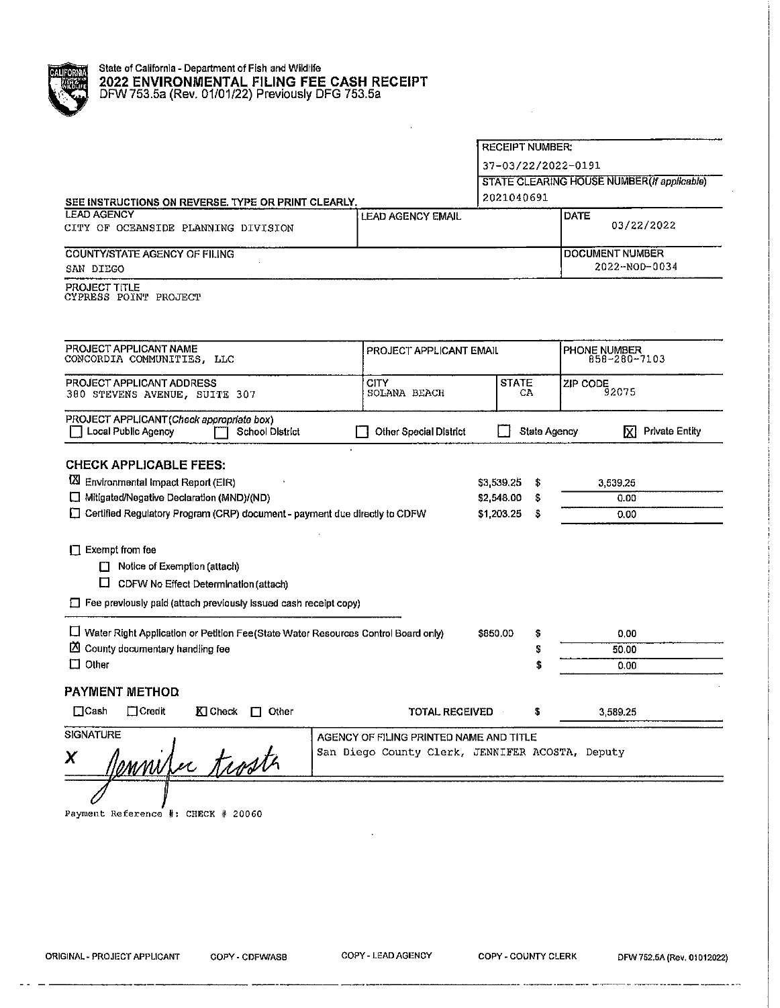|                                                                                                                                                                                                 |                               | <b>RECEIPT NUMBER:</b>                                   |                                                    |
|-------------------------------------------------------------------------------------------------------------------------------------------------------------------------------------------------|-------------------------------|----------------------------------------------------------|----------------------------------------------------|
|                                                                                                                                                                                                 |                               | 37-03/22/2022-0191                                       |                                                    |
| SEE INSTRUCTIONS ON REVERSE. TYPE OR PRINT CLEARLY.                                                                                                                                             |                               | 2021040691                                               | <b>STATE CLEARING HOUSE NUMBER (If applicable)</b> |
| <b>LEAD AGENCY</b><br>CITY OF OCEANSIDE PLANNING DIVISION                                                                                                                                       | LEAD AGENCY EMAIL             |                                                          | DATE<br>03/22/2022                                 |
| <b>COUNTY/STATE AGENCY OF FILING</b><br>SAN DIEGO                                                                                                                                               |                               |                                                          | <b>DOCUMENT NUMBER</b><br>2022-NOD-0034            |
| <b>PROJECT TITLE</b><br>CYPRESS POINT PROJECT                                                                                                                                                   |                               |                                                          |                                                    |
| PROJECT APPLICANT NAME<br>CONCORDIA COMMUNITIES, LLC                                                                                                                                            | PROJECT APPLICANT EMAIL       |                                                          | PHONE NUMBER<br>858-280-7103                       |
| PROJECT APPLICANT ADDRESS<br>380 STEVENS AVENUE, SUITE 307                                                                                                                                      | <b>CITY</b><br>SOLANA BEACH   | <b>STATE</b><br>CA                                       | ZIP CODE<br>92075                                  |
| PROJECT APPLICANT (Check appropriate box)<br>Local Public Agency<br><b>School District</b>                                                                                                      | <b>Other Special District</b> | <b>State Agency</b>                                      | <b>Private Entity</b><br>⊠                         |
| <b>CHECK APPLICABLE FEES:</b><br>Environmental Impact Report (EIR)<br>Mitigated/Negative Declaration (MND)/(ND)<br>□ Certified Regulatory Program (CRP) document - payment due directly to CDFW |                               | \$3,539,25<br>\$<br>\$2,548.00<br>\$<br>\$1,203.25<br>\$ | 3,539,25<br>0.00<br>0.00                           |
| $\Box$ Exempt from fee<br>$\Box$ Notice of Exemption (attach)<br>ᆸ<br>CDFW No Effect Determination (attach)<br>$\Box$ Fee previously paid (attach previously issued cash receipt copy)          |                               |                                                          |                                                    |
| Mater Right Application or Petition Fee (State Water Resources Control Board only)<br><b>2</b> County documentary handling fee<br>$\Box$ Other                                                  |                               |                                                          | 0,00<br>50.00<br>0,00                              |
| PAYMENT METHOD                                                                                                                                                                                  | TOTAL REGEIVED                | \$                                                       | 3589.25                                            |

\_\_\_\_\_\_\_\_\_\_\_\_\_\_

 $\frac{1}{2} \left( \frac{1}{2} \right)^2 + \frac{1}{2} \left( \frac{1}{2} \right)^2$ 

<u>in kan</u> masa

—————————

<u> Liberatura de la c</u>

— <del>— постава</del>ть

 $\hat{\mathcal{A}}$ 

and consideration and the context of the company of the context and the company of a security of the context o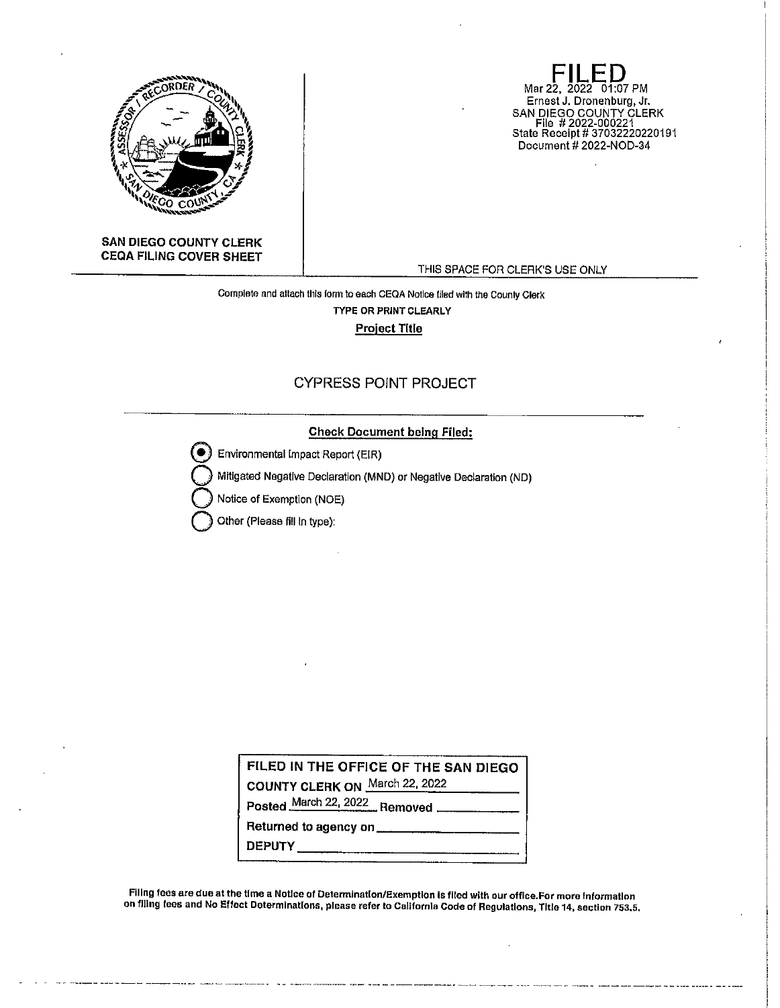

**SAN DIEGO COUNTY CLERK CEQA FILING COVER SHEET** 

**FILED**<br>Mar 22, 2022 01:07 PM Ernest J. Dronenburg, Jr. SAN DIEGO COUNTY CLERK File # 2022-000221 State Receipt# 37032220220191 Document# 2022-NOD-34

THIS SPACE FOR CLERK'S USE ONLY

بالمنافذ والمساري

**Complete and attach this fonn to each CEQA Notice flied with the Counly Clerk**  TYPE OR PRINT CLEARLY **Project Title** 

## CYPRESS POINT PROJECT

## **Check Document being Filed:**

@ Environmental Impact Report (EIR)

**Q** Mitigated Negative Declaration (MND) or Negative Declaration (ND)

**Notice of Exemption (NOE)** 

**Other (Please fill In type):** 

**FILED IN THE OFFICE OF THE SAN DIEGO COUNTY CLERK ON** March 22, 2022 **Posted** March 22, 2022 **Removed** \_\_\_\_\_ \_ Returned to agency on \_\_ **DEPUTY \_\_\_\_\_\_\_\_\_\_\_\_\_ \_** 

Filing fees are due at the time a Notice of Determination/Exemption is filed with our office.For more information **on filing fees and No Effect Determinations, please refer to Callfornla Code of Regulations, Title 14, section 753.5.**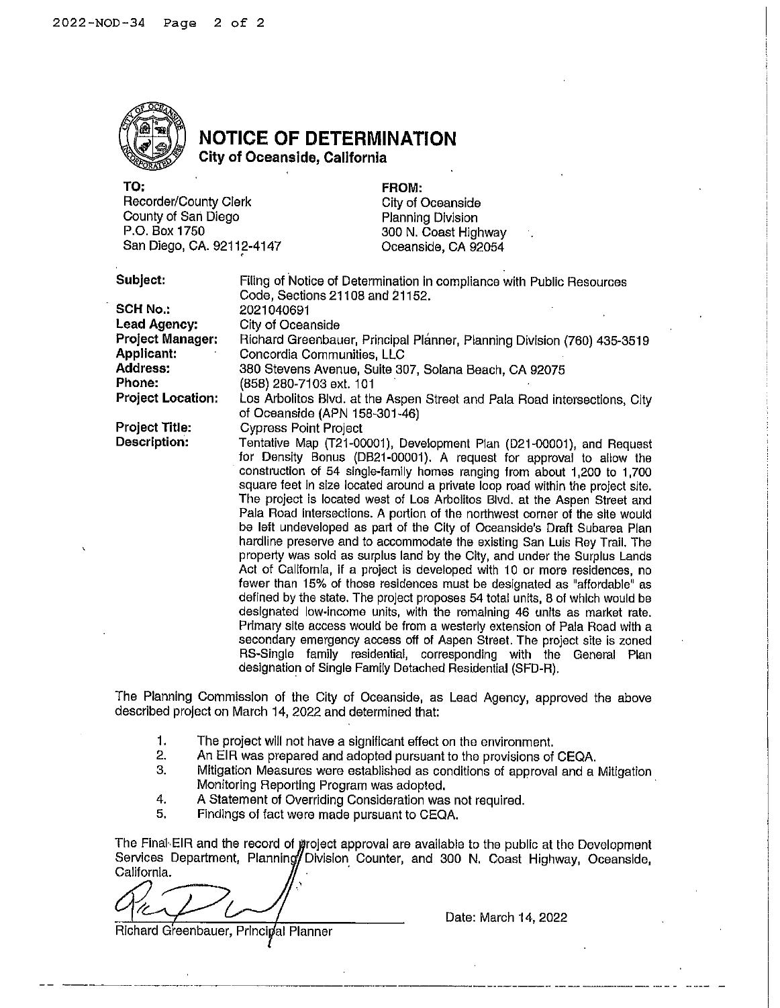

## **NOTICE OF DETERMINATION**

**City of Oceanside, California** 

| TO:                       |
|---------------------------|
| Recorder/County Clerk     |
| County of San Diego       |
| P.O. Box 1750             |
| San Diego, CA. 92112-4147 |

**FROM:**  City of Oceanside Planning Division 300 N. Coast Highway Oceanside, CA 92054

| Subject: |  |
|----------|--|
|          |  |

| Subject:                              | Filing of Notice of Determination in compliance with Public Resources                                      |  |  |  |  |  |
|---------------------------------------|------------------------------------------------------------------------------------------------------------|--|--|--|--|--|
|                                       | Code, Sections 21108 and 21152.                                                                            |  |  |  |  |  |
| <b>SCH No.:</b>                       | 2021040691                                                                                                 |  |  |  |  |  |
| Lead Agency:                          | City of Oceanside                                                                                          |  |  |  |  |  |
| <b>Project Manager:</b><br>Applicant: | Richard Greenbauer, Principal Planner, Planning Division (760) 435-3519<br>Concordia Communities, LLC      |  |  |  |  |  |
| <b>Address:</b>                       |                                                                                                            |  |  |  |  |  |
| Phone:                                | 380 Stevens Avenue, Suite 307, Solana Beach, CA 92075<br>(858) 280-7103 ext. 101                           |  |  |  |  |  |
| <b>Project Location:</b>              |                                                                                                            |  |  |  |  |  |
|                                       | Los Arbolitos Blvd. at the Aspen Street and Pala Road intersections, City<br>of Oceanside (APN 158-301-46) |  |  |  |  |  |
| <b>Project Title:</b>                 | <b>Cypress Point Project</b>                                                                               |  |  |  |  |  |
| Description:                          | Tentative Map (T21-00001), Development Plan (D21-00001), and Request                                       |  |  |  |  |  |
|                                       | for Density Bonus (DB21-00001). A request for approval to allow the                                        |  |  |  |  |  |
|                                       | construction of 54 single-family homes ranging from about 1,200 to 1,700                                   |  |  |  |  |  |
|                                       | square feet in size located around a private loop road within the project site.                            |  |  |  |  |  |
|                                       | The project is located west of Los Arbolitos Blvd, at the Aspen Street and                                 |  |  |  |  |  |
|                                       | Pala Road intersections. A portion of the northwest corner of the site would                               |  |  |  |  |  |
|                                       | be left undeveloped as part of the City of Oceanside's Draft Subarea Plan                                  |  |  |  |  |  |
|                                       | hardline preserve and to accommodate the existing San Luis Rey Trail. The                                  |  |  |  |  |  |
|                                       | property was sold as surplus land by the City, and under the Surplus Lands                                 |  |  |  |  |  |
|                                       | Act of California, if a project is developed with 10 or more residences, no                                |  |  |  |  |  |
|                                       | fewer than 15% of those residences must be designated as "affordable" as                                   |  |  |  |  |  |
|                                       | defined by the state. The project proposes 54 total units, 8 of which would be                             |  |  |  |  |  |
|                                       | designated low-income units, with the remaining 46 units as market rate.                                   |  |  |  |  |  |
|                                       | Primary site access would be from a westerly extension of Pala Road with a                                 |  |  |  |  |  |
|                                       | secondary emergency access off of Aspen Street. The project site is zoned                                  |  |  |  |  |  |
|                                       | RS-Single family residential, corresponding with the General Plan                                          |  |  |  |  |  |
|                                       | designation of Single Family Detached Residential (SFD-R).                                                 |  |  |  |  |  |

The Planning Commission of the City of Oceanside, as Lead Agency, approved the above described project on March 14, 2022 and determined that:

- 1. The project will not have a significant effect on the environment.
- 2. An EIR was prepared and adopted pursuant to the provisions of CEQA.<br>3. Mitigation Measures were established as conditions of approval and a
- Mitigation Measures were established as conditions of approval and a Mitigation Monitoring Reporting Program was adopted. ·
- 4. A Statement of Overriding Consideration was not required.<br>5. Findings of fact were made pursuant to CEQA.
- 5. Findings of fact were made pursuant to CEQA.

The Final EIR and the record of groject approval are available to the public at the Development Services Department, Planning/Division Counter, and 300 N. Coast Highway, Oceanside, California.

Richard Greenbauer, Principal Planner

Date: March 14, 2022

--------- ------